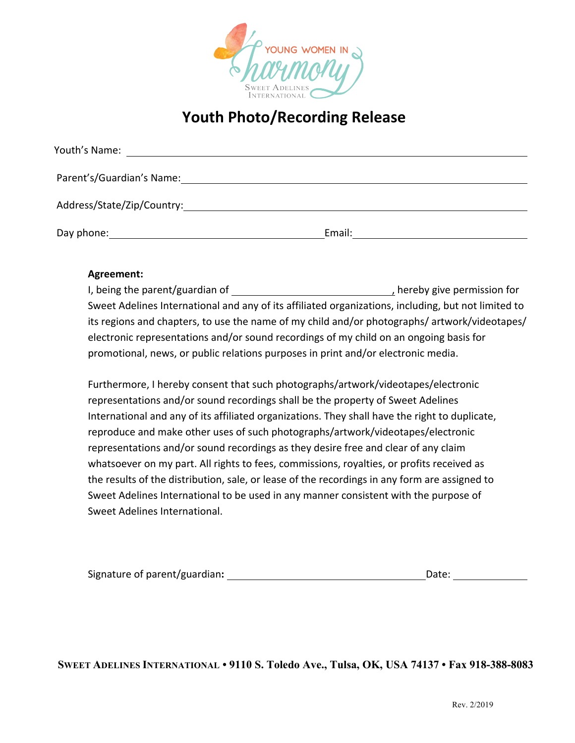

## **Youth Photo/Recording Release**

| Youth's Name:              |        |
|----------------------------|--------|
| Parent's/Guardian's Name:  |        |
| Address/State/Zip/Country: |        |
| Day phone:                 | Email: |

## **Agreement:**

I, being the parent/guardian of  $\qquad \qquad$ , hereby give permission for Sweet Adelines International and any of its affiliated organizations, including, but not limited to its regions and chapters, to use the name of my child and/or photographs/ artwork/videotapes/ electronic representations and/or sound recordings of my child on an ongoing basis for promotional, news, or public relations purposes in print and/or electronic media.

Furthermore, I hereby consent that such photographs/artwork/videotapes/electronic representations and/or sound recordings shall be the property of Sweet Adelines International and any of its affiliated organizations. They shall have the right to duplicate, reproduce and make other uses of such photographs/artwork/videotapes/electronic representations and/or sound recordings as they desire free and clear of any claim whatsoever on my part. All rights to fees, commissions, royalties, or profits received as the results of the distribution, sale, or lease of the recordings in any form are assigned to Sweet Adelines International to be used in any manner consistent with the purpose of Sweet Adelines International.

| Signature of parent/guardian: | Date: |  |
|-------------------------------|-------|--|
|                               |       |  |

**SWEET ADELINES INTERNATIONAL • 9110 S. Toledo Ave., Tulsa, OK, USA 74137 • Fax 918-388-8083**